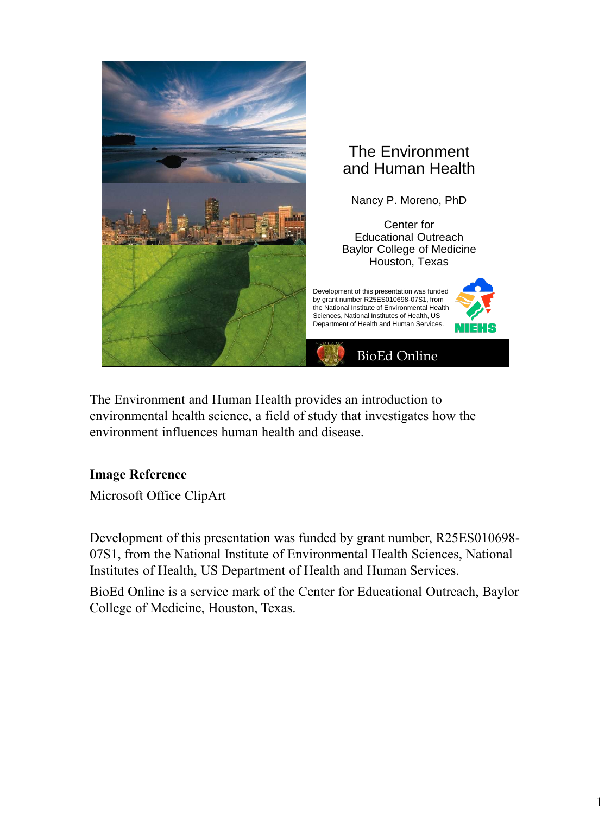

The Environment and Human Health provides an introduction to environmental health science, a field of study that investigates how the environment influences human health and disease.

# **Image Reference**

Microsoft Office ClipArt

Development of this presentation was funded by grant number, R25ES010698- 07S1, from the National Institute of Environmental Health Sciences, National Institutes of Health, US Department of Health and Human Services.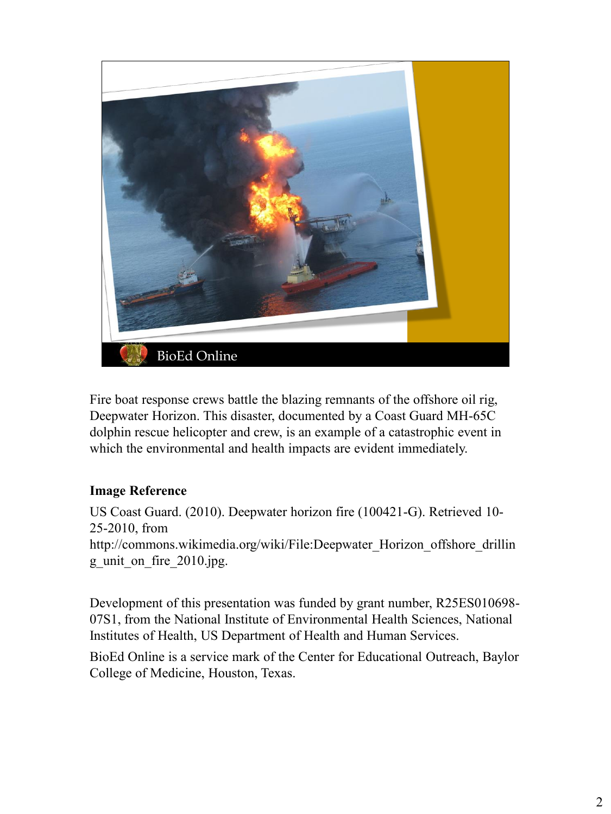

Fire boat response crews battle the blazing remnants of the offshore oil rig, Deepwater Horizon. This disaster, documented by a Coast Guard MH-65C dolphin rescue helicopter and crew, is an example of a catastrophic event in which the environmental and health impacts are evident immediately.

# **Image Reference**

US Coast Guard. (2010). Deepwater horizon fire (100421-G). Retrieved 10- 25-2010, from http://commons.wikimedia.org/wiki/File:Deepwater\_Horizon\_offshore\_drillin g\_unit\_on\_fire\_2010.jpg.

Development of this presentation was funded by grant number, R25ES010698- 07S1, from the National Institute of Environmental Health Sciences, National Institutes of Health, US Department of Health and Human Services.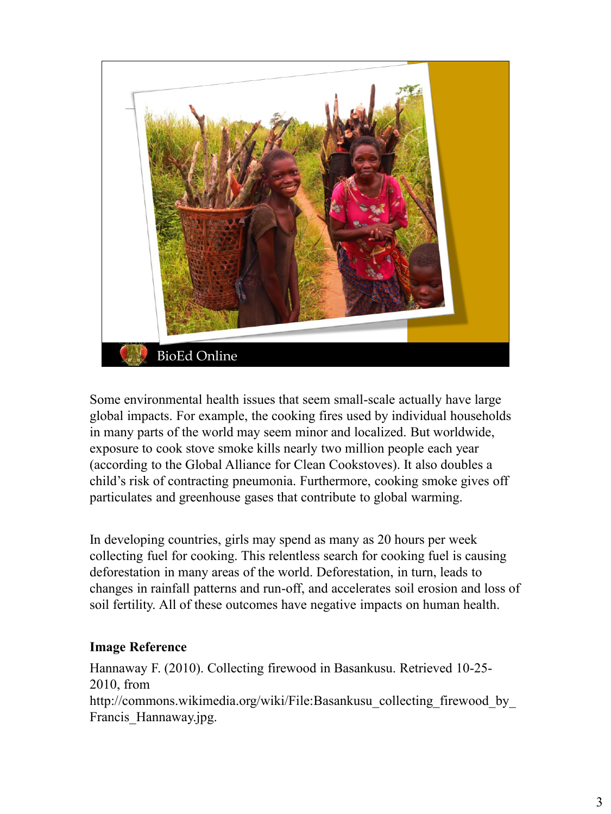

Some environmental health issues that seem small-scale actually have large global impacts. For example, the cooking fires used by individual households in many parts of the world may seem minor and localized. But worldwide, exposure to cook stove smoke kills nearly two million people each year (according to the Global Alliance for Clean Cookstoves). It also doubles a child's risk of contracting pneumonia. Furthermore, cooking smoke gives off particulates and greenhouse gases that contribute to global warming.

In developing countries, girls may spend as many as 20 hours per week collecting fuel for cooking. This relentless search for cooking fuel is causing deforestation in many areas of the world. Deforestation, in turn, leads to changes in rainfall patterns and run-off, and accelerates soil erosion and loss of soil fertility. All of these outcomes have negative impacts on human health.

# **Image Reference**

Hannaway F. (2010). Collecting firewood in Basankusu. Retrieved 10-25- 2010, from http://commons.wikimedia.org/wiki/File:Basankusu\_collecting\_firewood\_by\_ Francis\_Hannaway.jpg.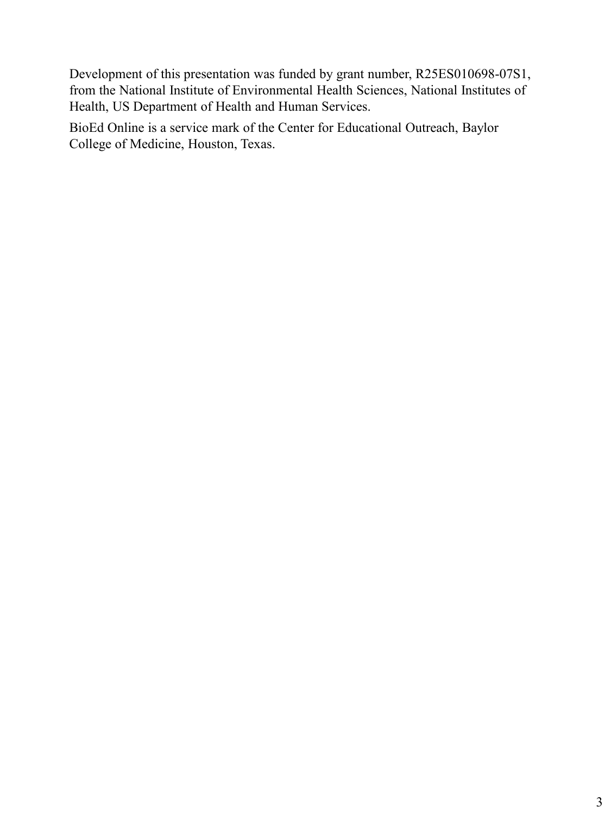Development of this presentation was funded by grant number, R25ES010698-07S1, from the National Institute of Environmental Health Sciences, National Institutes of Health, US Department of Health and Human Services.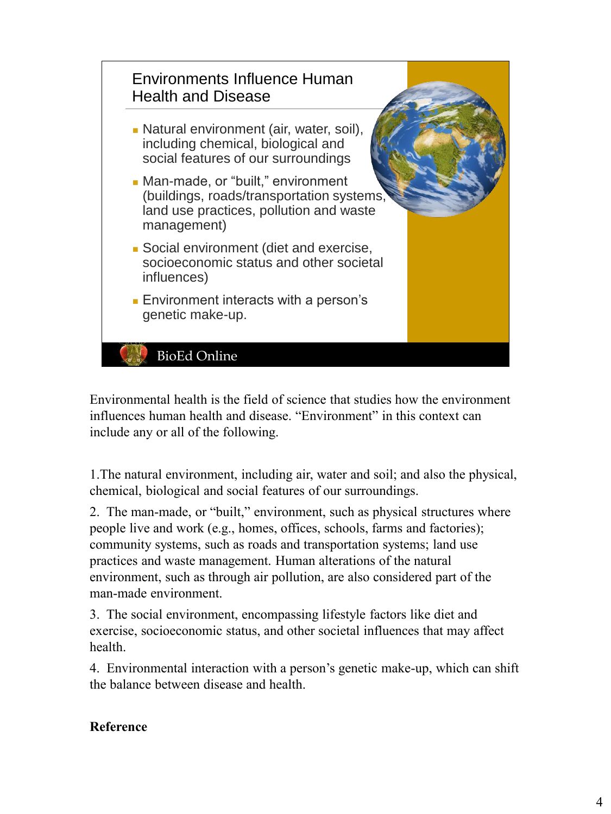

Environmental health is the field of science that studies how the environment influences human health and disease. "Environment" in this context can include any or all of the following.

1.The natural environment, including air, water and soil; and also the physical, chemical, biological and social features of our surroundings.

2. The man-made, or "built," environment, such as physical structures where people live and work (e.g., homes, offices, schools, farms and factories); community systems, such as roads and transportation systems; land use practices and waste management. Human alterations of the natural environment, such as through air pollution, are also considered part of the man-made environment.

3. The social environment, encompassing lifestyle factors like diet and exercise, socioeconomic status, and other societal influences that may affect health.

4. Environmental interaction with a person's genetic make-up, which can shift the balance between disease and health.

# **Reference**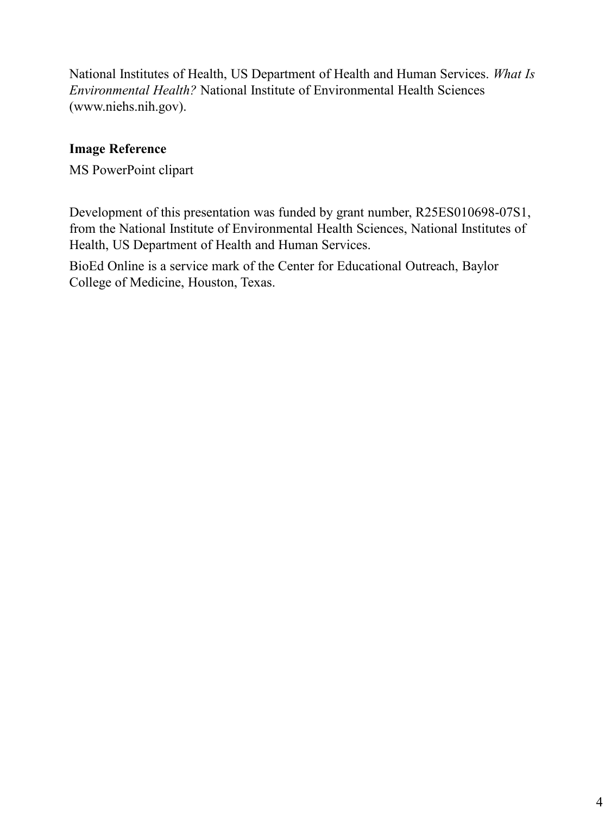National Institutes of Health, US Department of Health and Human Services. *What Is Environmental Health?* National Institute of Environmental Health Sciences (www.niehs.nih.gov).

# **Image Reference**

MS PowerPoint clipart

Development of this presentation was funded by grant number, R25ES010698-07S1, from the National Institute of Environmental Health Sciences, National Institutes of Health, US Department of Health and Human Services.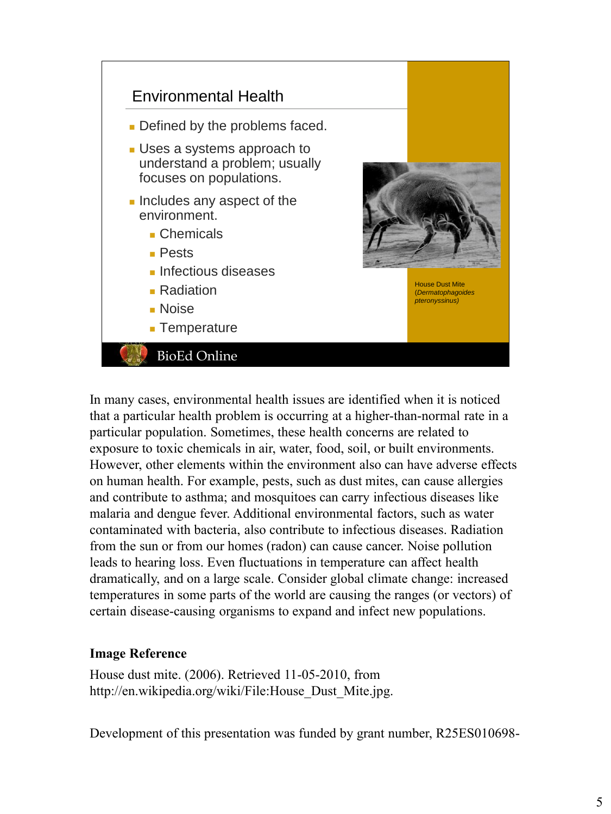

In many cases, environmental health issues are identified when it is noticed that a particular health problem is occurring at a higher-than-normal rate in a particular population. Sometimes, these health concerns are related to exposure to toxic chemicals in air, water, food, soil, or built environments. However, other elements within the environment also can have adverse effects on human health. For example, pests, such as dust mites, can cause allergies and contribute to asthma; and mosquitoes can carry infectious diseases like malaria and dengue fever. Additional environmental factors, such as water contaminated with bacteria, also contribute to infectious diseases. Radiation from the sun or from our homes (radon) can cause cancer. Noise pollution leads to hearing loss. Even fluctuations in temperature can affect health dramatically, and on a large scale. Consider global climate change: increased temperatures in some parts of the world are causing the ranges (or vectors) of certain disease-causing organisms to expand and infect new populations.

# **Image Reference**

House dust mite. (2006). Retrieved 11-05-2010, from http://en.wikipedia.org/wiki/File:House\_Dust\_Mite.jpg.

Development of this presentation was funded by grant number, R25ES010698-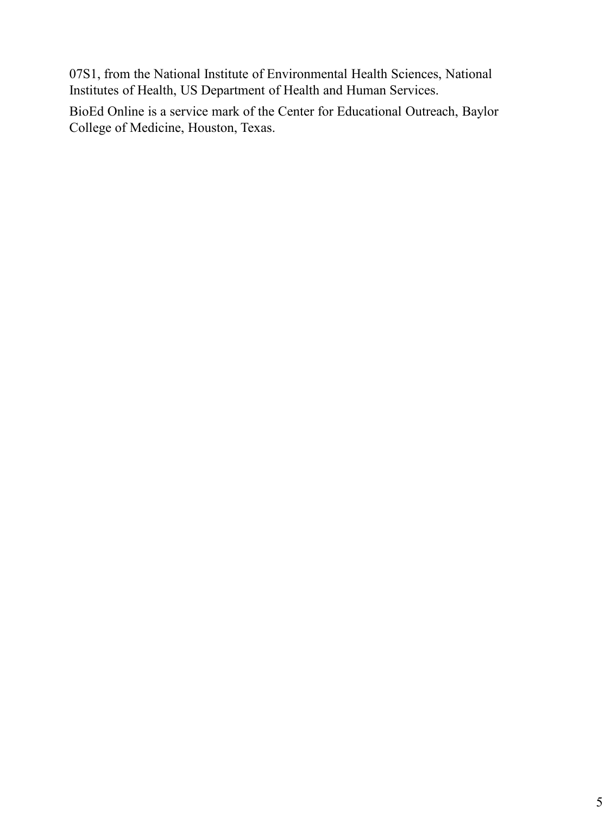07S1, from the National Institute of Environmental Health Sciences, National Institutes of Health, US Department of Health and Human Services.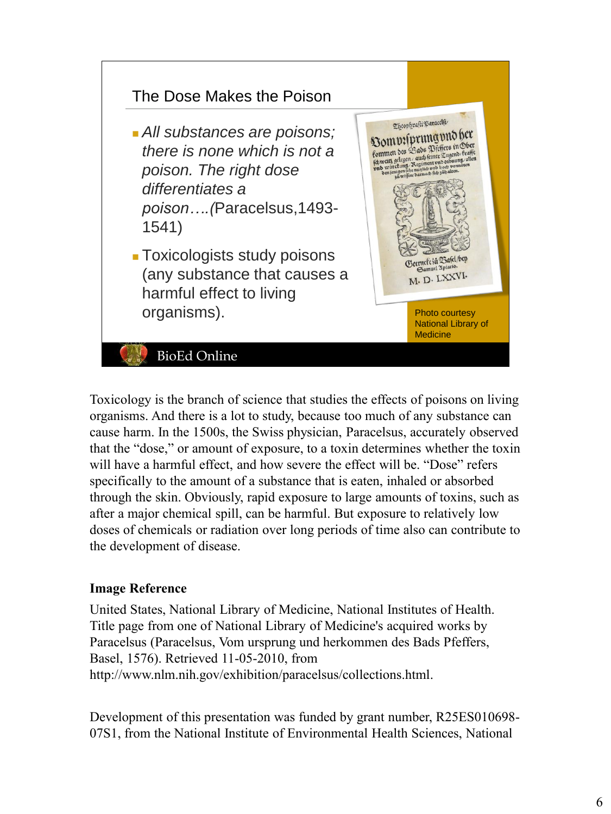

Toxicology is the branch of science that studies the effects of poisons on living organisms. And there is a lot to study, because too much of any substance can cause harm. In the 1500s, the Swiss physician, Paracelsus, accurately observed that the "dose," or amount of exposure, to a toxin determines whether the toxin will have a harmful effect, and how severe the effect will be. "Dose" refers specifically to the amount of a substance that is eaten, inhaled or absorbed through the skin. Obviously, rapid exposure to large amounts of toxins, such as after a major chemical spill, can be harmful. But exposure to relatively low doses of chemicals or radiation over long periods of time also can contribute to the development of disease.

#### **Image Reference**

United States, National Library of Medicine, National Institutes of Health. Title page from one of National Library of Medicine's acquired works by Paracelsus (Paracelsus, Vom ursprung und herkommen des Bads Pfeffers, Basel, 1576). Retrieved 11-05-2010, from http://www.nlm.nih.gov/exhibition/paracelsus/collections.html.

Development of this presentation was funded by grant number, R25ES010698- 07S1, from the National Institute of Environmental Health Sciences, National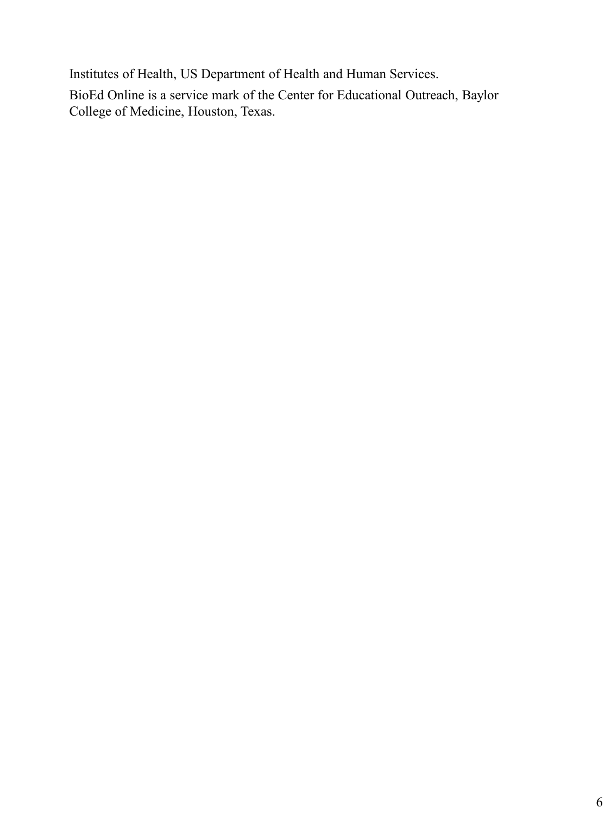Institutes of Health, US Department of Health and Human Services.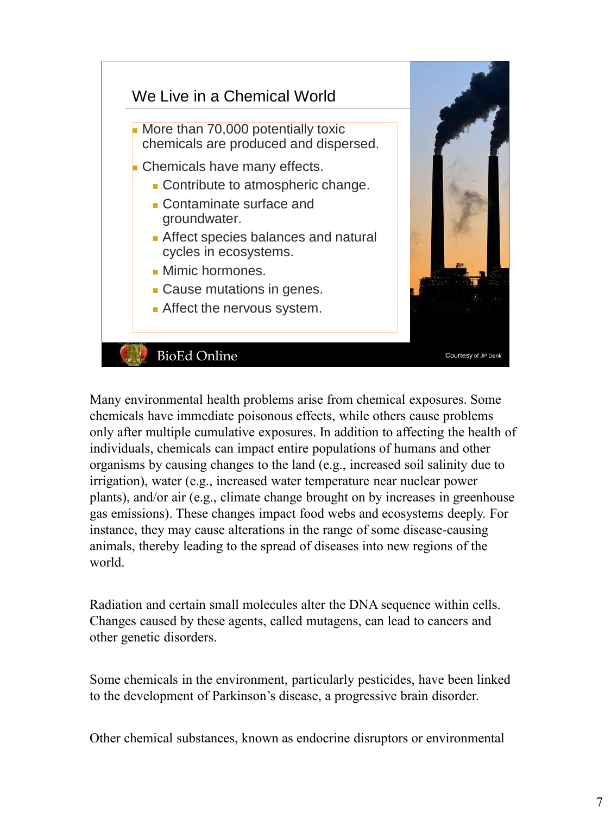

Many environmental health problems arise from chemical exposures. Some chemicals have immediate poisonous effects, while others cause problems only after multiple cumulative exposures. In addition to affecting the health of individuals, chemicals can impact entire populations of humans and other organisms by causing changes to the land (e.g., increased soil salinity due to irrigation), water (e.g., increased water temperature near nuclear power plants), and/or air (e.g., climate change brought on by increases in greenhouse gas emissions). These changes impact food webs and ecosystems deeply. For instance, they may cause alterations in the range of some disease-causing animals, thereby leading to the spread of diseases into new regions of the world.

Radiation and certain small molecules alter the DNA sequence within cells. Changes caused by these agents, called mutagens, can lead to cancers and other genetic disorders.

Some chemicals in the environment, particularly pesticides, have been linked to the development of Parkinson's disease, a progressive brain disorder.

Other chemical substances, known as endocrine disruptors or environmental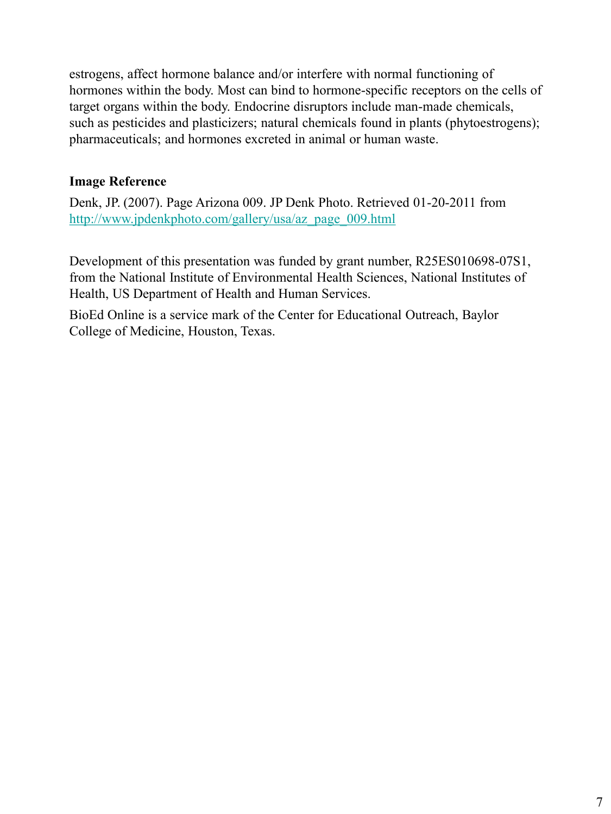estrogens, affect hormone balance and/or interfere with normal functioning of hormones within the body. Most can bind to hormone-specific receptors on the cells of target organs within the body. Endocrine disruptors include man-made chemicals, such as pesticides and plasticizers; natural chemicals found in plants (phytoestrogens); pharmaceuticals; and hormones excreted in animal or human waste.

# **Image Reference**

Denk, JP. (2007). Page Arizona 009. JP Denk Photo. Retrieved 01-20-2011 from http://www.jpdenkphoto.com/gallery/usa/az\_page\_009.html

Development of this presentation was funded by grant number, R25ES010698-07S1, from the National Institute of Environmental Health Sciences, National Institutes of Health, US Department of Health and Human Services.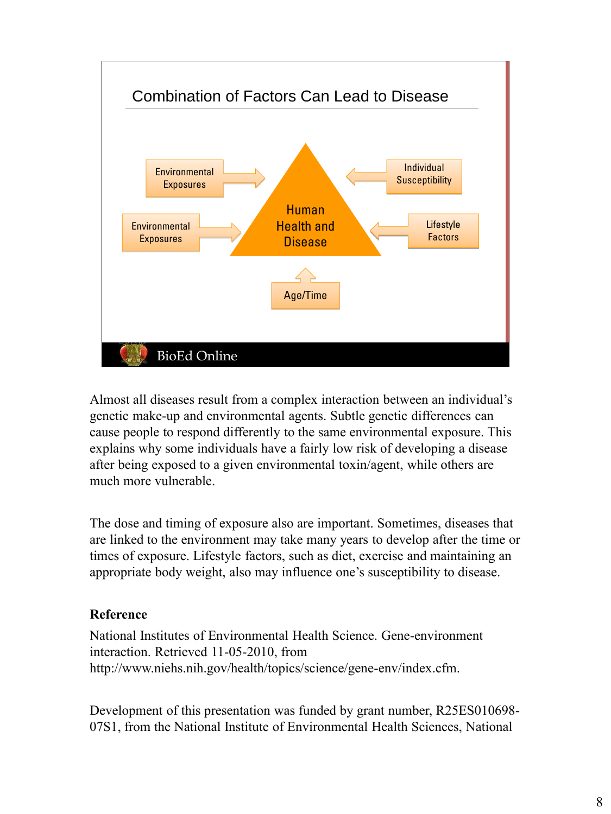

Almost all diseases result from a complex interaction between an individual's genetic make-up and environmental agents. Subtle genetic differences can cause people to respond differently to the same environmental exposure. This explains why some individuals have a fairly low risk of developing a disease after being exposed to a given environmental toxin/agent, while others are much more vulnerable.

The dose and timing of exposure also are important. Sometimes, diseases that are linked to the environment may take many years to develop after the time or times of exposure. Lifestyle factors, such as diet, exercise and maintaining an appropriate body weight, also may influence one's susceptibility to disease.

# **Reference**

National Institutes of Environmental Health Science. Gene-environment interaction. Retrieved 11-05-2010, from http://www.niehs.nih.gov/health/topics/science/gene-env/index.cfm.

Development of this presentation was funded by grant number, R25ES010698- 07S1, from the National Institute of Environmental Health Sciences, National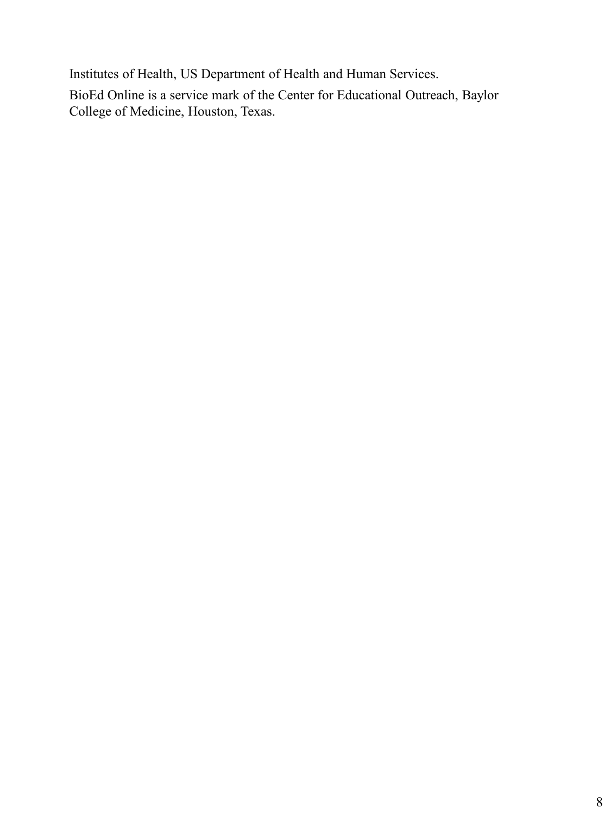Institutes of Health, US Department of Health and Human Services.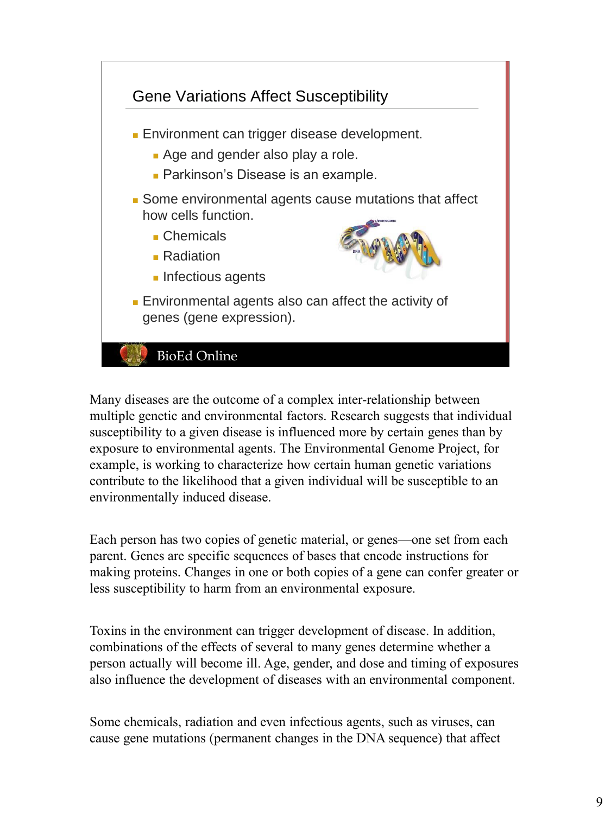

Many diseases are the outcome of a complex inter-relationship between multiple genetic and environmental factors. Research suggests that individual susceptibility to a given disease is influenced more by certain genes than by exposure to environmental agents. The Environmental Genome Project, for example, is working to characterize how certain human genetic variations contribute to the likelihood that a given individual will be susceptible to an environmentally induced disease.

Each person has two copies of genetic material, or genes—one set from each parent. Genes are specific sequences of bases that encode instructions for making proteins. Changes in one or both copies of a gene can confer greater or less susceptibility to harm from an environmental exposure.

Toxins in the environment can trigger development of disease. In addition, combinations of the effects of several to many genes determine whether a person actually will become ill. Age, gender, and dose and timing of exposures also influence the development of diseases with an environmental component.

Some chemicals, radiation and even infectious agents, such as viruses, can cause gene mutations (permanent changes in the DNA sequence) that affect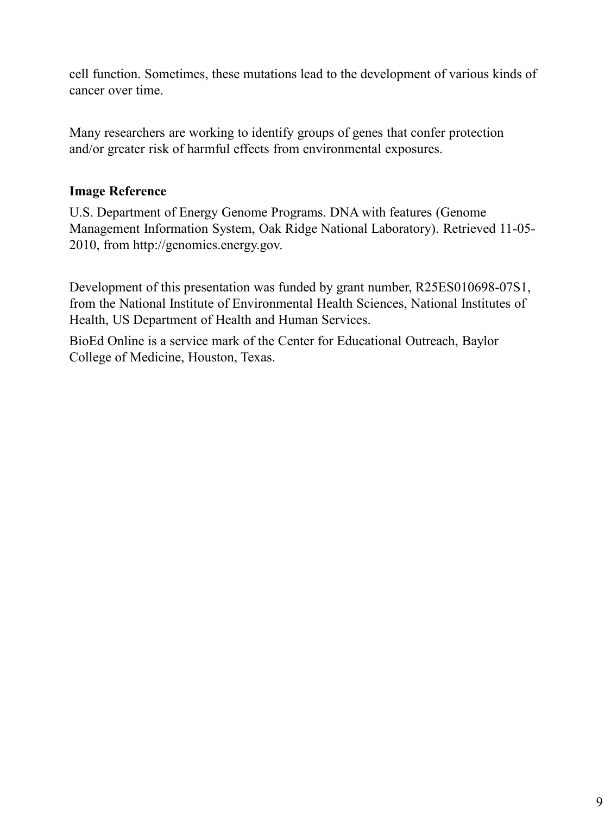cell function. Sometimes, these mutations lead to the development of various kinds of cancer over time.

Many researchers are working to identify groups of genes that confer protection and/or greater risk of harmful effects from environmental exposures.

# **Image Reference**

U.S. Department of Energy Genome Programs. DNA with features (Genome Management Information System, Oak Ridge National Laboratory). Retrieved 11-05- 2010, from http://genomics.energy.gov.

Development of this presentation was funded by grant number, R25ES010698-07S1, from the National Institute of Environmental Health Sciences, National Institutes of Health, US Department of Health and Human Services.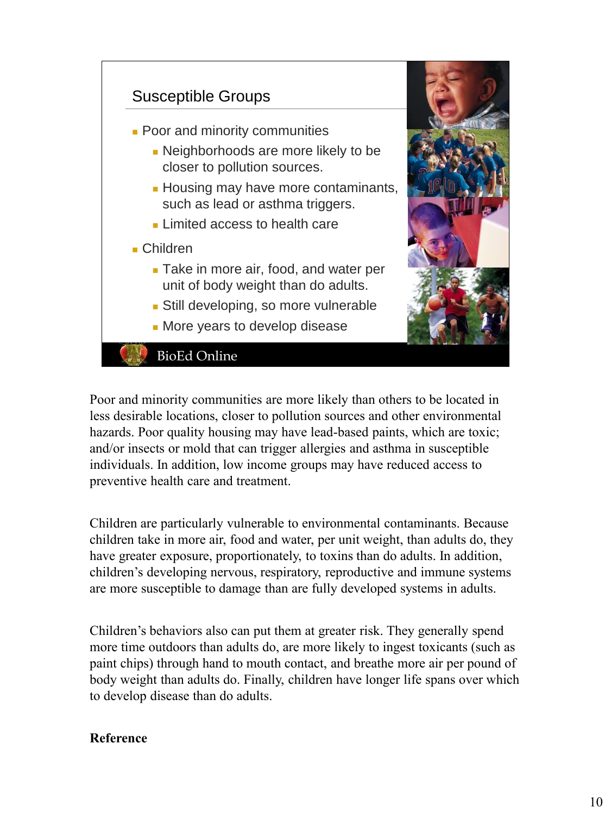

Poor and minority communities are more likely than others to be located in less desirable locations, closer to pollution sources and other environmental hazards. Poor quality housing may have lead-based paints, which are toxic; and/or insects or mold that can trigger allergies and asthma in susceptible individuals. In addition, low income groups may have reduced access to preventive health care and treatment.

Children are particularly vulnerable to environmental contaminants. Because children take in more air, food and water, per unit weight, than adults do, they have greater exposure, proportionately, to toxins than do adults. In addition, children's developing nervous, respiratory, reproductive and immune systems are more susceptible to damage than are fully developed systems in adults.

Children's behaviors also can put them at greater risk. They generally spend more time outdoors than adults do, are more likely to ingest toxicants (such as paint chips) through hand to mouth contact, and breathe more air per pound of body weight than adults do. Finally, children have longer life spans over which to develop disease than do adults.

#### **Reference**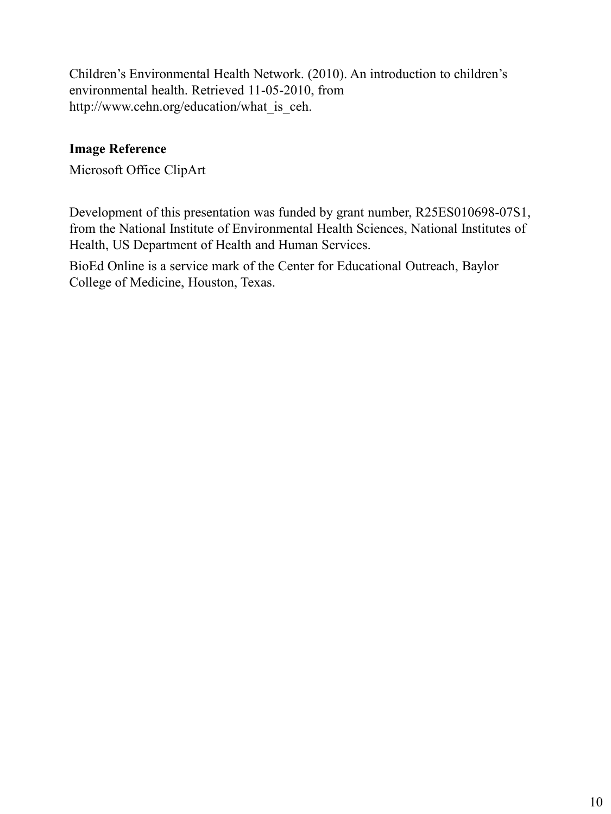Children's Environmental Health Network. (2010). An introduction to children's environmental health. Retrieved 11-05-2010, from http://www.cehn.org/education/what\_is\_ceh.

# **Image Reference**

Microsoft Office ClipArt

Development of this presentation was funded by grant number, R25ES010698-07S1, from the National Institute of Environmental Health Sciences, National Institutes of Health, US Department of Health and Human Services.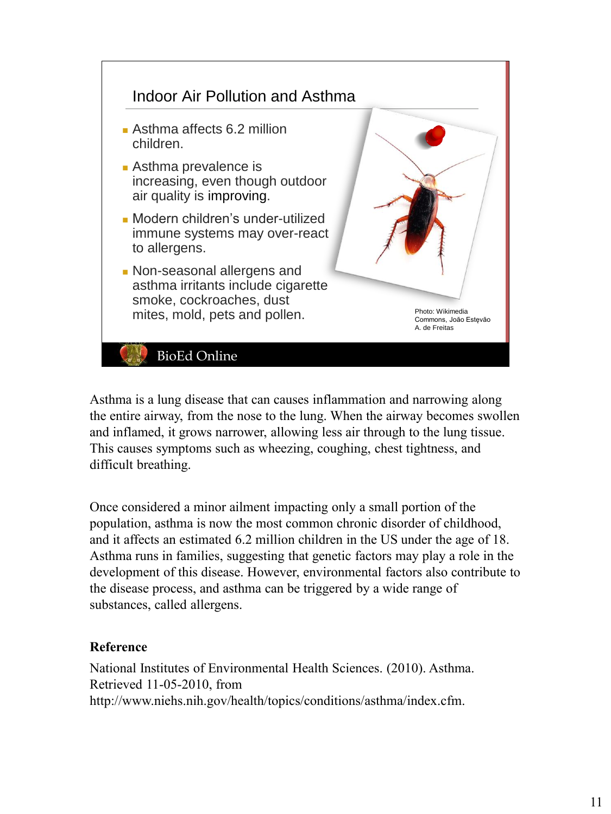

Asthma is a lung disease that can causes inflammation and narrowing along the entire airway, from the nose to the lung. When the airway becomes swollen and inflamed, it grows narrower, allowing less air through to the lung tissue. This causes symptoms such as wheezing, coughing, chest tightness, and difficult breathing.

Once considered a minor ailment impacting only a small portion of the population, asthma is now the most common chronic disorder of childhood, and it affects an estimated 6.2 million children in the US under the age of 18. Asthma runs in families, suggesting that genetic factors may play a role in the development of this disease. However, environmental factors also contribute to the disease process, and asthma can be triggered by a wide range of substances, called allergens.

# **Reference**

National Institutes of Environmental Health Sciences. (2010). Asthma. Retrieved 11-05-2010, from http://www.niehs.nih.gov/health/topics/conditions/asthma/index.cfm.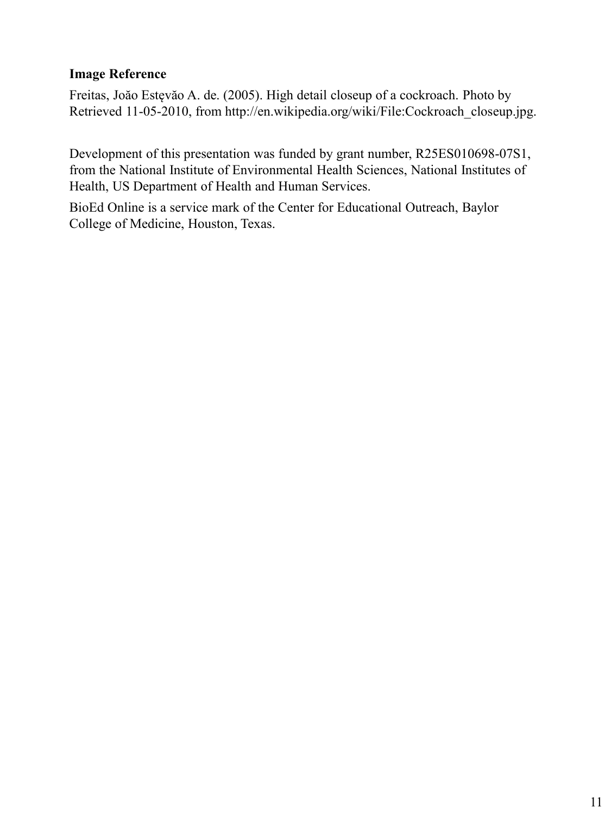#### **Image Reference**

Freitas, Joăo Estęvăo A. de. (2005). High detail closeup of a cockroach. Photo by Retrieved 11-05-2010, from http://en.wikipedia.org/wiki/File:Cockroach\_closeup.jpg.

Development of this presentation was funded by grant number, R25ES010698-07S1, from the National Institute of Environmental Health Sciences, National Institutes of Health, US Department of Health and Human Services.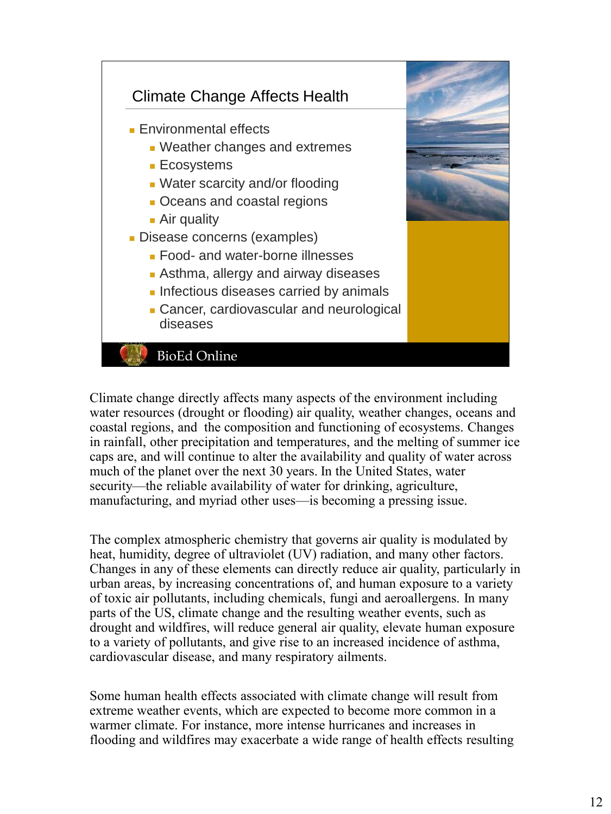

Climate change directly affects many aspects of the environment including water resources (drought or flooding) air quality, weather changes, oceans and coastal regions, and the composition and functioning of ecosystems. Changes in rainfall, other precipitation and temperatures, and the melting of summer ice caps are, and will continue to alter the availability and quality of water across much of the planet over the next 30 years. In the United States, water security—the reliable availability of water for drinking, agriculture, manufacturing, and myriad other uses—is becoming a pressing issue.

The complex atmospheric chemistry that governs air quality is modulated by heat, humidity, degree of ultraviolet (UV) radiation, and many other factors. Changes in any of these elements can directly reduce air quality, particularly in urban areas, by increasing concentrations of, and human exposure to a variety of toxic air pollutants, including chemicals, fungi and aeroallergens. In many parts of the US, climate change and the resulting weather events, such as drought and wildfires, will reduce general air quality, elevate human exposure to a variety of pollutants, and give rise to an increased incidence of asthma, cardiovascular disease, and many respiratory ailments.

Some human health effects associated with climate change will result from extreme weather events, which are expected to become more common in a warmer climate. For instance, more intense hurricanes and increases in flooding and wildfires may exacerbate a wide range of health effects resulting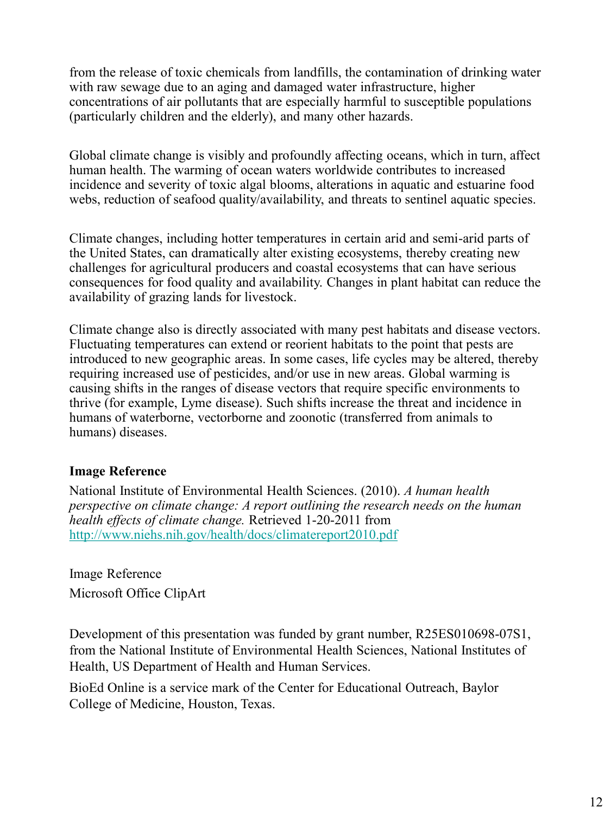from the release of toxic chemicals from landfills, the contamination of drinking water with raw sewage due to an aging and damaged water infrastructure, higher concentrations of air pollutants that are especially harmful to susceptible populations (particularly children and the elderly), and many other hazards.

Global climate change is visibly and profoundly affecting oceans, which in turn, affect human health. The warming of ocean waters worldwide contributes to increased incidence and severity of toxic algal blooms, alterations in aquatic and estuarine food webs, reduction of seafood quality/availability, and threats to sentinel aquatic species.

Climate changes, including hotter temperatures in certain arid and semi-arid parts of the United States, can dramatically alter existing ecosystems, thereby creating new challenges for agricultural producers and coastal ecosystems that can have serious consequences for food quality and availability. Changes in plant habitat can reduce the availability of grazing lands for livestock.

Climate change also is directly associated with many pest habitats and disease vectors. Fluctuating temperatures can extend or reorient habitats to the point that pests are introduced to new geographic areas. In some cases, life cycles may be altered, thereby requiring increased use of pesticides, and/or use in new areas. Global warming is causing shifts in the ranges of disease vectors that require specific environments to thrive (for example, Lyme disease). Such shifts increase the threat and incidence in humans of waterborne, vectorborne and zoonotic (transferred from animals to humans) diseases.

# **Image Reference**

National Institute of Environmental Health Sciences. (2010). *A human health perspective on climate change: A report outlining the research needs on the human health effects of climate change.* Retrieved 1-20-2011 from http://www.niehs.nih.gov/health/docs/climatereport2010.pdf

Image Reference Microsoft Office ClipArt

Development of this presentation was funded by grant number, R25ES010698-07S1, from the National Institute of Environmental Health Sciences, National Institutes of Health, US Department of Health and Human Services.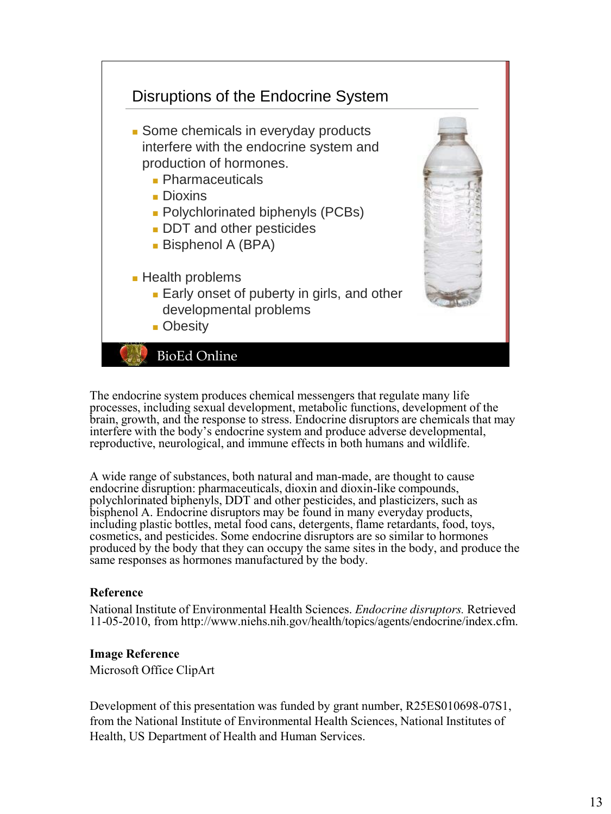

The endocrine system produces chemical messengers that regulate many life processes, including sexual development, metabolic functions, development of the brain, growth, and the response to stress. Endocrine disruptors are chemicals that may interfere with the body's endocrine system and produce adverse developmental, reproductive, neurological, and immune effects in both humans and wildlife.

A wide range of substances, both natural and man-made, are thought to cause endocrine disruption: pharmaceuticals, dioxin and dioxin-like compounds, polychlorinated biphenyls, DDT and other pesticides, and plasticizers, such as bisphenol A. Endocrine disruptors may be found in many everyday products, including plastic bottles, metal food cans, detergents, flame retardants, food, toys, cosmetics, and pesticides. Some endocrine disruptors are so similar to hormones produced by the body that they can occupy the same sites in the body, and produce the same responses as hormones manufactured by the body.

#### **Reference**

National Institute of Environmental Health Sciences. *Endocrine disruptors.* Retrieved 11-05-2010, from http://www.niehs.nih.gov/health/topics/agents/endocrine/index.cfm.

#### **Image Reference**

Microsoft Office ClipArt

Development of this presentation was funded by grant number, R25ES010698-07S1, from the National Institute of Environmental Health Sciences, National Institutes of Health, US Department of Health and Human Services.